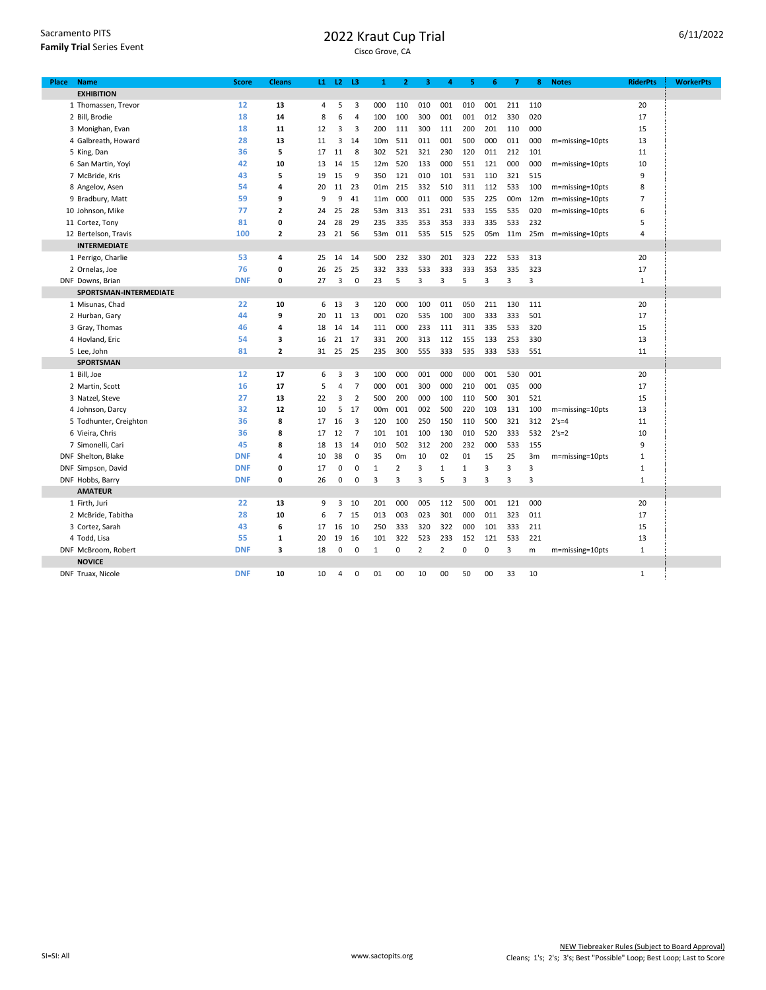| Sacramento PITS                  |
|----------------------------------|
| <b>Family Trial Series Event</b> |

## 2022 Kraut Cup Trial

| Place | <b>Name</b>            | <b>Score</b> | <b>Cleans</b> |    | $L1$ $L2$ $L3$ |                | 1               | 2              | з   | 4              | 5            | 6   | 7               | 8               | <b>Notes</b>        | <b>RiderPts</b> | <b>WorkerPts</b> |
|-------|------------------------|--------------|---------------|----|----------------|----------------|-----------------|----------------|-----|----------------|--------------|-----|-----------------|-----------------|---------------------|-----------------|------------------|
|       | <b>EXHIBITION</b>      |              |               |    |                |                |                 |                |     |                |              |     |                 |                 |                     |                 |                  |
|       | 1 Thomassen, Trevor    | 12           | 13            | 4  | 5              | 3              | 000             | 110            | 010 | 001            | 010          | 001 | 211             | 110             |                     | 20              |                  |
|       | 2 Bill, Brodie         | 18           | 14            | 8  | 6              | $\overline{4}$ | 100             | 100            | 300 | 001            | 001          | 012 | 330             | 020             |                     | 17              |                  |
|       | 3 Monighan, Evan       | 18           | 11            | 12 | 3              | 3              | 200             | 111            | 300 | 111            | 200          | 201 | 110             | 000             |                     | 15              |                  |
|       | 4 Galbreath, Howard    | 28           | 13            | 11 | 3              | 14             | 10 <sub>m</sub> | 511            | 011 | 001            | 500          | 000 | 011             | 000             | m=missing=10pts     | 13              |                  |
|       | 5 King, Dan            | 36           | 5             | 17 | 11             | 8              | 302             | 521            | 321 | 230            | 120          | 011 | 212             | 101             |                     | 11              |                  |
|       | 6 San Martin, Yoyi     | 42           | 10            | 13 | 14             | 15             | 12 <sub>m</sub> | 520            | 133 | 000            | 551          | 121 | 000             | 000             | m=missing=10pts     | 10              |                  |
|       | 7 McBride, Kris        | 43           | 5             | 19 | 15             | 9              | 350             | 121            | 010 | 101            | 531          | 110 | 321             | 515             |                     | 9               |                  |
|       | 8 Angelov, Asen        | 54           | 4             | 20 | 11             | 23             | 01m             | 215            | 332 | 510            | 311          | 112 | 533             | 100             | m=missing=10pts     | 8               |                  |
|       | 9 Bradbury, Matt       | 59           | 9             | 9  | 9              | 41             | 11 <sub>m</sub> | 000            | 011 | 000            | 535          | 225 | 00 <sub>m</sub> | 12 <sub>m</sub> | m=missing=10pts     | 7               |                  |
|       | 10 Johnson, Mike       | 77           | $\mathbf{z}$  | 24 | 25             | 28             | 53m             | 313            | 351 | 231            | 533          | 155 | 535             | 020             | m=missing=10pts     | 6               |                  |
|       | 11 Cortez, Tony        | 81           | 0             | 24 | 28             | 29             | 235             | 335            | 353 | 353            | 333          | 335 | 533             | 232             |                     | 5               |                  |
|       | 12 Bertelson, Travis   | 100          | 2             | 23 | 21             | 56             | 53m             | 011            | 535 | 515            | 525          | 05m | 11m             |                 | 25m m=missing=10pts | 4               |                  |
|       | <b>INTERMEDIATE</b>    |              |               |    |                |                |                 |                |     |                |              |     |                 |                 |                     |                 |                  |
|       | 1 Perrigo, Charlie     | 53           | 4             | 25 | 14             | 14             | 500             | 232            | 330 | 201            | 323          | 222 | 533             | 313             |                     | 20              |                  |
|       | 2 Ornelas, Joe         | 76           | 0             | 26 | 25             | 25             | 332             | 333            | 533 | 333            | 333          | 353 | 335             | 323             |                     | 17              |                  |
|       | DNF Downs, Brian       | <b>DNF</b>   | 0             | 27 | 3              | 0              | 23              | 5              | 3   | 3              | 5            | 3   | 3               | 3               |                     | 1               |                  |
|       | SPORTSMAN-INTERMEDIATE |              |               |    |                |                |                 |                |     |                |              |     |                 |                 |                     |                 |                  |
|       | 1 Misunas, Chad        | 22           | 10            | 6  | 13             | 3              | 120             | 000            | 100 | 011            | 050          | 211 | 130             | 111             |                     | 20              |                  |
|       | 2 Hurban, Gary         | 44           | 9             | 20 | 11             | 13             | 001             | 020            | 535 | 100            | 300          | 333 | 333             | 501             |                     | 17              |                  |
|       | 3 Gray, Thomas         | 46           | 4             | 18 | 14 14          |                | 111             | 000            | 233 | 111            | 311          | 335 | 533             | 320             |                     | 15              |                  |
|       | 4 Hovland, Eric        | 54           | з             | 16 | 21 17          |                | 331             | 200            | 313 | 112            | 155          | 133 | 253             | 330             |                     | 13              |                  |
|       | 5 Lee, John            | 81           | $\mathbf{z}$  | 31 | 25             | 25             | 235             | 300            | 555 | 333            | 535          | 333 | 533             | 551             |                     | 11              |                  |
|       | <b>SPORTSMAN</b>       |              |               |    |                |                |                 |                |     |                |              |     |                 |                 |                     |                 |                  |
|       | 1 Bill, Joe            | 12           | 17            | 6  | 3              | 3              | 100             | 000            | 001 | 000            | 000          | 001 | 530             | 001             |                     | 20              |                  |
|       | 2 Martin, Scott        | 16           | 17            | 5  | 4              | $\overline{7}$ | 000             | 001            | 300 | 000            | 210          | 001 | 035             | 000             |                     | 17              |                  |
|       | 3 Natzel, Steve        | 27           | 13            | 22 | 3              | $\overline{2}$ | 500             | 200            | 000 | 100            | 110          | 500 | 301             | 521             |                     | 15              |                  |
|       | 4 Johnson, Darcy       | 32           | 12            | 10 | 5              | 17             | 00 <sub>m</sub> | 001            | 002 | 500            | 220          | 103 | 131             | 100             | m=missing=10pts     | 13              |                  |
|       | 5 Todhunter, Creighton | 36           | 8             | 17 | 16             | 3              | 120             | 100            | 250 | 150            | 110          | 500 | 321             | 312             | $2's = 4$           | 11              |                  |
|       | 6 Vieira, Chris        | 36           | 8             | 17 | 12             | $\overline{7}$ | 101             | 101            | 100 | 130            | 010          | 520 | 333             | 532             | $2's=2$             | 10              |                  |
|       | 7 Simonelli, Cari      | 45           | 8             | 18 | 13             | 14             | 010             | 502            | 312 | 200            | 232          | 000 | 533             | 155             |                     | 9               |                  |
|       | DNF Shelton, Blake     | <b>DNF</b>   | 4             | 10 | 38             | $\mathbf 0$    | 35              | 0 <sub>m</sub> | 10  | 02             | 01           | 15  | 25              | 3m              | m=missing=10pts     | $\mathbf{1}$    |                  |
|       | DNF Simpson, David     | <b>DNF</b>   | 0             | 17 | 0              | 0              | 1               | 2              | 3   | $\mathbf{1}$   | $\mathbf{1}$ | 3   | 3               | 3               |                     | 1               |                  |
|       | DNF Hobbs, Barry       | <b>DNF</b>   | 0             | 26 | 0              | 0              | 3               | 3              | 3   | 5              | 3            | 3   | 3               | 3               |                     | 1               |                  |
|       | <b>AMATEUR</b>         |              |               |    |                |                |                 |                |     |                |              |     |                 |                 |                     |                 |                  |
|       | 1 Firth, Juri          | 22           | 13            | 9  | 3              | 10             | 201             | 000            | 005 | 112            | 500          | 001 | 121             | 000             |                     | 20              |                  |
|       | 2 McBride, Tabitha     | 28           | 10            | 6  | $\overline{7}$ | 15             | 013             | 003            | 023 | 301            | 000          | 011 | 323             | 011             |                     | 17              |                  |
|       | 3 Cortez, Sarah        | 43           | 6             | 17 | 16             | 10             | 250             | 333            | 320 | 322            | 000          | 101 | 333             | 211             |                     | 15              |                  |
|       | 4 Todd, Lisa           | 55           | 1             | 20 | 19             | 16             | 101             | 322            | 523 | 233            | 152          | 121 | 533             | 221             |                     | 13              |                  |
|       | DNF McBroom, Robert    | <b>DNF</b>   | 3             | 18 | 0              | 0              | 1               | 0              | 2   | $\overline{2}$ | 0            | 0   | 3               | m               | m=missing=10pts     | 1               |                  |
|       | <b>NOVICE</b>          |              |               |    |                |                |                 |                |     |                |              |     |                 |                 |                     |                 |                  |
|       | DNF Truax, Nicole      | <b>DNF</b>   | 10            | 10 | 4              | $\mathbf 0$    | 01              | 00             | 10  | 00             | 50           | 00  | 33              | 10              |                     | 1               |                  |
|       |                        |              |               |    |                |                |                 |                |     |                |              |     |                 |                 |                     |                 |                  |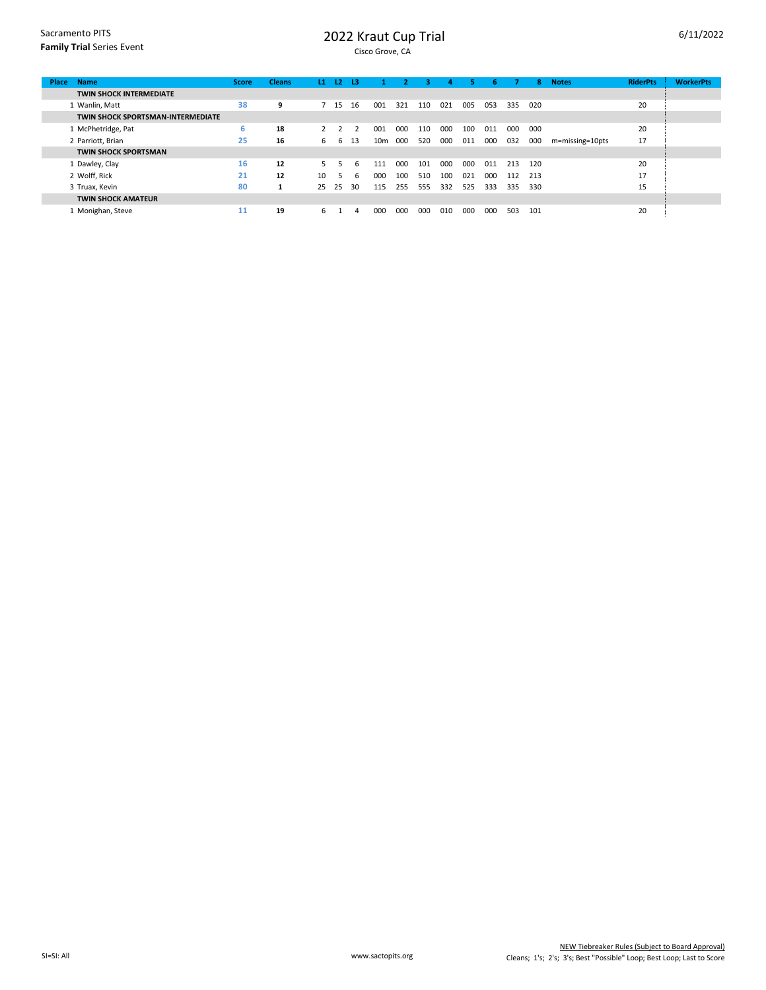## 2022 Kraut Cup Trial

| <b>Name</b><br><b>Place</b>              | <b>Score</b> | <b>Cleans</b> | L1             | 12   | -13 |     |     | з.  | 4   | 5.  | 6.  |     | 8   | <b>Notes</b>    | <b>RiderPts</b> | <b>WorkerPts</b> |
|------------------------------------------|--------------|---------------|----------------|------|-----|-----|-----|-----|-----|-----|-----|-----|-----|-----------------|-----------------|------------------|
| <b>TWIN SHOCK INTERMEDIATE</b>           |              |               |                |      |     |     |     |     |     |     |     |     |     |                 |                 |                  |
| 1 Wanlin, Matt                           | 38           | 9             |                | 7 15 | 16  | 001 | 321 | 110 | 021 | 005 | 053 | 335 | 020 |                 | 20              |                  |
| <b>TWIN SHOCK SPORTSMAN-INTERMEDIATE</b> |              |               |                |      |     |     |     |     |     |     |     |     |     |                 |                 |                  |
| 1 McPhetridge, Pat                       | 6            | 18            | $\overline{2}$ |      |     | 001 | 000 | 110 | 000 | 100 | 011 | 000 | 000 |                 | 20              |                  |
| 2 Parriott, Brian                        | 25           | 16            | 6              | b.   | 13  | 10m | 000 | 520 | 000 | 011 | 000 | 032 | 000 | m=missing=10pts | 17              |                  |
| <b>TWIN SHOCK SPORTSMAN</b>              |              |               |                |      |     |     |     |     |     |     |     |     |     |                 |                 |                  |
| 1 Dawley, Clay                           | 16           | 12            | 5.             |      | 6   | 111 | 000 | 101 | 000 | 000 | 011 | 213 | 120 |                 | 20              |                  |
| 2 Wolff. Rick                            | 21           | 12            | 10             | ъ.   | 6   | 000 | 100 | 510 | 100 | 021 | 000 | 112 | 213 |                 | 17              |                  |
| 3 Truax, Kevin                           | 80           |               | 25             | 25   | 30  | 115 | 255 | 555 | 332 | 525 | 333 | 335 | 330 |                 | 15              |                  |
| <b>TWIN SHOCK AMATEUR</b>                |              |               |                |      |     |     |     |     |     |     |     |     |     |                 |                 |                  |
| 1 Monighan, Steve                        | 11           | 19            | 6.             |      | 4   | 000 | 000 | 000 | 010 | 000 | 000 | 503 | 101 |                 | 20              |                  |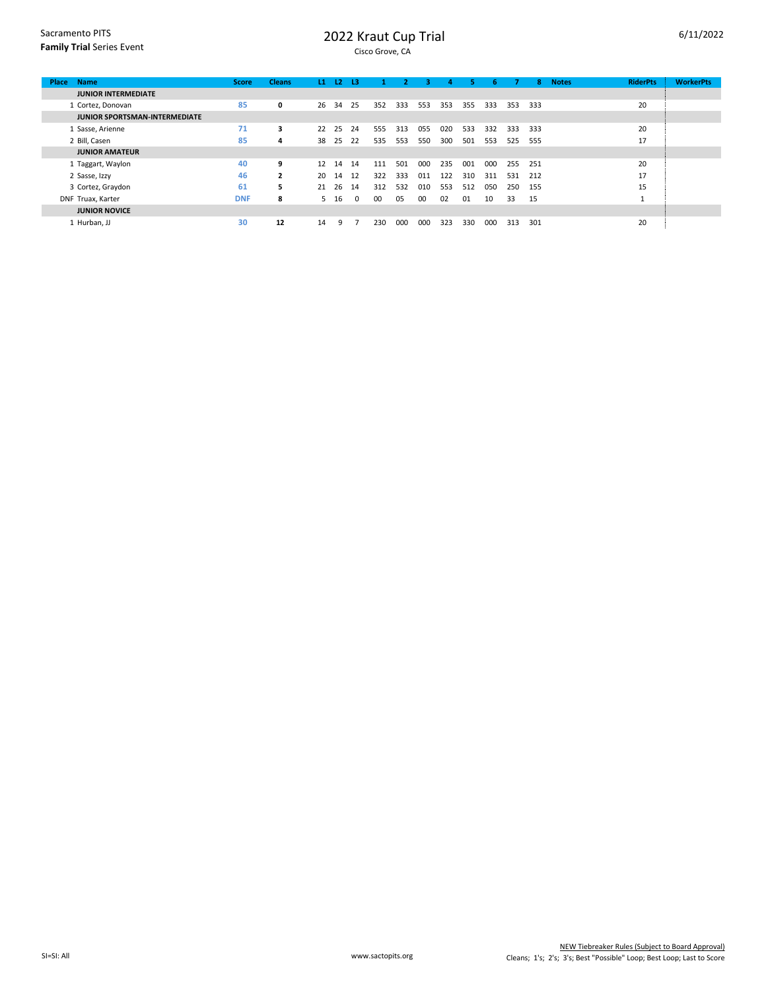## 2022 Kraut Cup Trial

| <b>Name</b><br><b>Place</b>          | <b>Score</b> | <b>Cleans</b>  | L1 | <b>L2</b> | 13       |     |     | з   | 4   |     | 6.  |     | 8.  | <b>Notes</b> | <b>RiderPts</b> | <b>WorkerPts</b> |
|--------------------------------------|--------------|----------------|----|-----------|----------|-----|-----|-----|-----|-----|-----|-----|-----|--------------|-----------------|------------------|
| <b>JUNIOR INTERMEDIATE</b>           |              |                |    |           |          |     |     |     |     |     |     |     |     |              |                 |                  |
| 1 Cortez, Donovan                    | 85           | 0              | 26 | 34        | -25      | 352 | 333 | 553 | 353 | 355 | 333 | 353 | 333 |              | 20              |                  |
| <b>JUNIOR SPORTSMAN-INTERMEDIATE</b> |              |                |    |           |          |     |     |     |     |     |     |     |     |              |                 |                  |
| 1 Sasse, Arienne                     | 71           | 3              | 22 | -25       | 24       | 555 | 313 | 055 | 020 | 533 | 332 | 333 | 333 |              | 20              |                  |
| 2 Bill, Casen                        | 85           | 4              | 38 | 25        | 22       | 535 | 553 | 550 | 300 | 501 | 553 | 525 | 555 |              | 17              |                  |
| <b>JUNIOR AMATEUR</b>                |              |                |    |           |          |     |     |     |     |     |     |     |     |              |                 |                  |
| 1 Taggart, Waylon                    | 40           | 9              | 12 | 14        | 14       | 111 | 501 | 000 | 235 | 001 | 000 | 255 | 251 |              | 20              |                  |
| 2 Sasse, Izzy                        | 46           | $\overline{2}$ | 20 | 14        | 12       | 322 | 333 | 011 | 122 | 310 | 311 | 531 | 212 |              | 17              |                  |
| 3 Cortez, Graydon                    | 61           | 5.             | 21 | 26        | 14       | 312 | 532 | 010 | 553 | 512 | 050 | 250 | 155 |              | 15              |                  |
| DNF Truax, Karter                    | <b>DNF</b>   | 8              | 5. | 16        | $\Omega$ | 00  | 05  | 00  | 02  | 01  | 10  | 33  | 15  |              |                 |                  |
| <b>JUNIOR NOVICE</b>                 |              |                |    |           |          |     |     |     |     |     |     |     |     |              |                 |                  |
| 1 Hurban, JJ                         | 30           | 12             | 14 | q         |          | 230 | 000 | 000 | 323 | 330 | 000 | 313 | 301 |              | 20              |                  |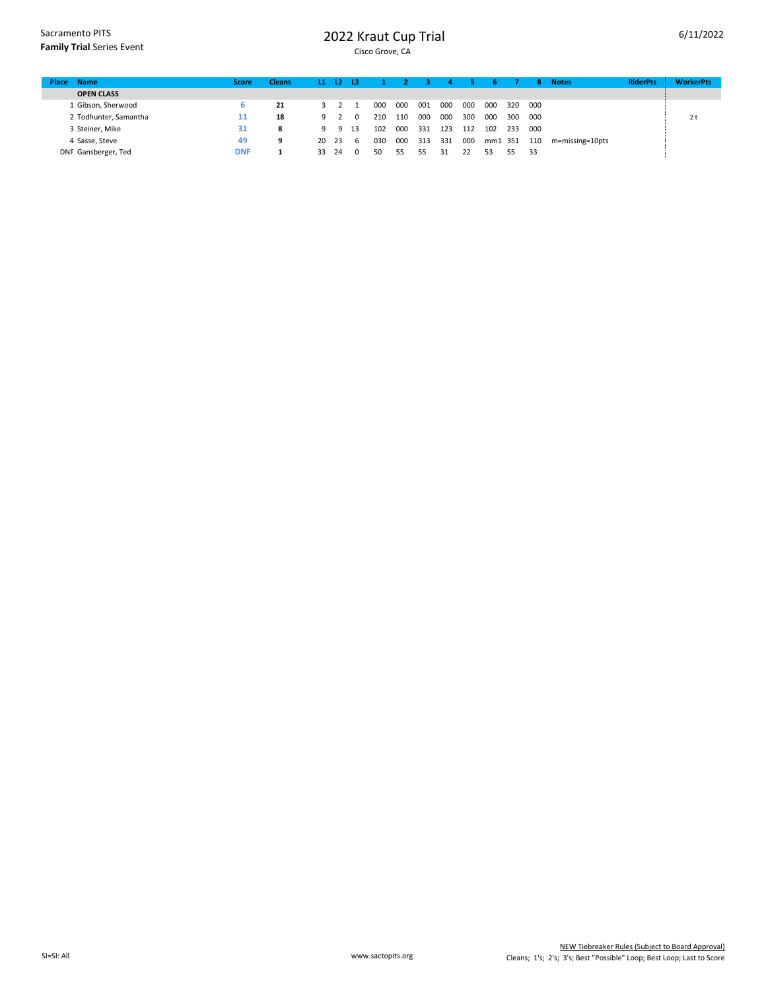Sacramento PITS **Family Trial** Series Event

## 2022 Kraut Cup Trial

| <b>Name</b><br>Place  | <b>Score</b> | <b>Cleans</b> |          | $L1$ $L2$ $L3$ |      |     |     |     | д   |     |         |     | 8.  | <b>Notes</b>    | <b>RiderPts</b> | <b>WorkerPts</b> |
|-----------------------|--------------|---------------|----------|----------------|------|-----|-----|-----|-----|-----|---------|-----|-----|-----------------|-----------------|------------------|
| <b>OPEN CLASS</b>     |              |               |          |                |      |     |     |     |     |     |         |     |     |                 |                 |                  |
| 1 Gibson, Sherwood    | 6            | 21            |          |                |      | 000 | 000 | 001 | 000 | 000 | 000     | 320 | 000 |                 |                 |                  |
| 2 Todhunter, Samantha | 11           | 18            |          | -9. 2          | 0    | 210 | 110 | 000 | 000 | 300 | 000     | 300 | 000 |                 |                 | $2 +$<br>ΖL      |
| 3 Steiner, Mike       | 31           | 8             | <b>Q</b> | -9             | - 13 | 102 | 000 | 331 | 123 | 112 | 102     | 233 | 000 |                 |                 |                  |
| 4 Sasse, Steve        | 49           | 9             | 20 23    |                | - 6  | 030 | 000 | 313 | 331 | 000 | mm1 351 |     | 110 | m=missing=10pts |                 |                  |
| DNF Gansberger, Ted   | <b>DNF</b>   |               | 33.      | - 24           | 0    | 50  | 55  | 55. | 31  | 22  | 53      | 55. | 33  |                 |                 |                  |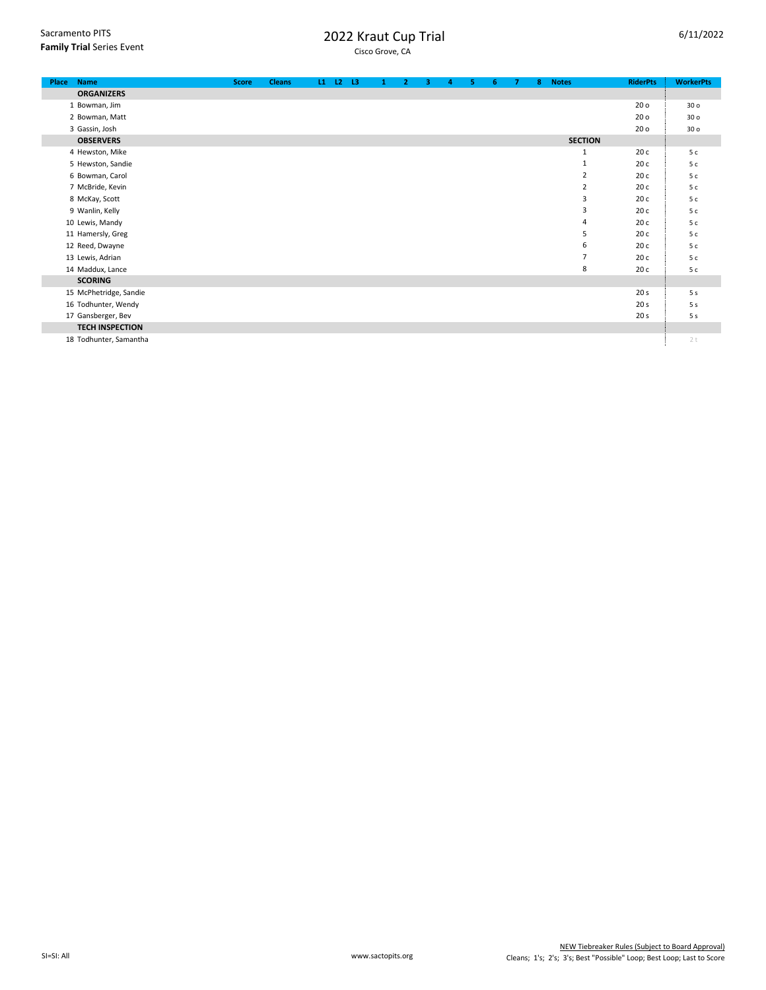| 2022 Kraut Cup Trial |  |
|----------------------|--|
| Cicco Grove CA       |  |

| <b>Name</b><br>Place   | <b>Score</b> | <b>Cleans</b> |  | $L1$ $L2$ $L3$ | -1 | $\overline{2}$ | з. | 4 | 5. | 6. | $\overline{7}$ | 8 | <b>Notes</b>   | <b>RiderPts</b> | <b>WorkerPts</b> |
|------------------------|--------------|---------------|--|----------------|----|----------------|----|---|----|----|----------------|---|----------------|-----------------|------------------|
| <b>ORGANIZERS</b>      |              |               |  |                |    |                |    |   |    |    |                |   |                |                 |                  |
| 1 Bowman, Jim          |              |               |  |                |    |                |    |   |    |    |                |   |                | 20 <sub>o</sub> | 30 <sub>o</sub>  |
| 2 Bowman, Matt         |              |               |  |                |    |                |    |   |    |    |                |   |                | 20 <sub>o</sub> | 30 <sub>o</sub>  |
| 3 Gassin, Josh         |              |               |  |                |    |                |    |   |    |    |                |   |                | 20 <sub>o</sub> | 30 <sub>o</sub>  |
| <b>OBSERVERS</b>       |              |               |  |                |    |                |    |   |    |    |                |   | <b>SECTION</b> |                 |                  |
| 4 Hewston, Mike        |              |               |  |                |    |                |    |   |    |    |                |   | $\mathbf{1}$   | 20c             | 5c               |
| 5 Hewston, Sandie      |              |               |  |                |    |                |    |   |    |    |                |   | 1              | 20c             | 5c               |
| 6 Bowman, Carol        |              |               |  |                |    |                |    |   |    |    |                |   | $\overline{2}$ | 20c             | 5c               |
| 7 McBride, Kevin       |              |               |  |                |    |                |    |   |    |    |                |   | $\overline{2}$ | 20c             | 5c               |
| 8 McKay, Scott         |              |               |  |                |    |                |    |   |    |    |                |   | 3              | 20c             | 5 с              |
| 9 Wanlin, Kelly        |              |               |  |                |    |                |    |   |    |    |                |   | 3              | 20c             | 5c               |
| 10 Lewis, Mandy        |              |               |  |                |    |                |    |   |    |    |                |   | 4              | 20c             | 5c               |
| 11 Hamersly, Greg      |              |               |  |                |    |                |    |   |    |    |                |   | 5              | 20c             | 5c               |
| 12 Reed, Dwayne        |              |               |  |                |    |                |    |   |    |    |                |   | 6              | 20c             | 5c               |
| 13 Lewis, Adrian       |              |               |  |                |    |                |    |   |    |    |                |   | $\overline{7}$ | 20c             | 5c               |
| 14 Maddux, Lance       |              |               |  |                |    |                |    |   |    |    |                |   | 8              | 20c             | 5c               |
| <b>SCORING</b>         |              |               |  |                |    |                |    |   |    |    |                |   |                |                 |                  |
| 15 McPhetridge, Sandie |              |               |  |                |    |                |    |   |    |    |                |   |                | 20 <sub>s</sub> | 5 <sub>s</sub>   |
| 16 Todhunter, Wendy    |              |               |  |                |    |                |    |   |    |    |                |   |                | 20 <sub>s</sub> | 5 <sub>s</sub>   |
| 17 Gansberger, Bev     |              |               |  |                |    |                |    |   |    |    |                |   |                | 20 <sub>s</sub> | 5 <sub>s</sub>   |
| <b>TECH INSPECTION</b> |              |               |  |                |    |                |    |   |    |    |                |   |                |                 |                  |
| 18 Todhunter, Samantha |              |               |  |                |    |                |    |   |    |    |                |   |                |                 | 2t               |